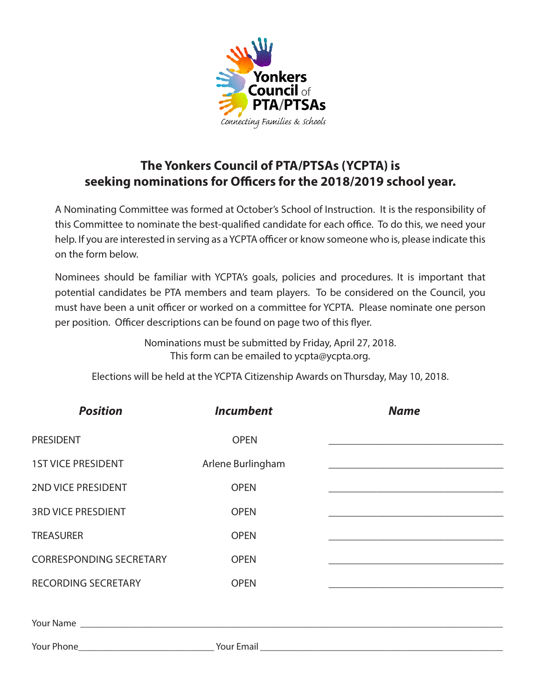

# **The Yonkers Council of PTA/PTSAs (YCPTA) is seeking nominations for Officers for the 2018/2019 school year.**

A Nominating Committee was formed at October's School of Instruction. It is the responsibility of this Committee to nominate the best-qualified candidate for each office. To do this, we need your help. If you are interested in serving as a YCPTA officer or know someone who is, please indicate this on the form below.

Nominees should be familiar with YCPTA's goals, policies and procedures. It is important that potential candidates be PTA members and team players. To be considered on the Council, you must have been a unit officer or worked on a committee for YCPTA. Please nominate one person per position. Officer descriptions can be found on page two of this flyer.

> Nominations must be submitted by Friday, April 27, 2018. This form can be emailed to ycpta@ycpta.org.

Elections will be held at the YCPTA Citizenship Awards on Thursday, May 10, 2018.

| <b>Position</b>                | <b>Incumbent</b>  | <b>Name</b>                                                                                                                                                                                                                   |
|--------------------------------|-------------------|-------------------------------------------------------------------------------------------------------------------------------------------------------------------------------------------------------------------------------|
| <b>PRESIDENT</b>               | <b>OPEN</b>       |                                                                                                                                                                                                                               |
| <b>1ST VICE PRESIDENT</b>      | Arlene Burlingham |                                                                                                                                                                                                                               |
| 2ND VICE PRESIDENT             | <b>OPEN</b>       |                                                                                                                                                                                                                               |
| <b>3RD VICE PRESDIENT</b>      | <b>OPEN</b>       | the control of the control of the control of the control of the control of the control of                                                                                                                                     |
| <b>TREASURER</b>               | <b>OPEN</b>       | the control of the control of the control of the control of the control of the control of the control of the control of the control of the control of the control of the control of the control of the control of the control |
| <b>CORRESPONDING SECRETARY</b> | <b>OPEN</b>       | <u> 1980 - Johann Barn, amerikansk politiker (d. 1980)</u>                                                                                                                                                                    |
| <b>RECORDING SECRETARY</b>     | <b>OPEN</b>       |                                                                                                                                                                                                                               |
|                                |                   |                                                                                                                                                                                                                               |
|                                |                   |                                                                                                                                                                                                                               |
|                                |                   |                                                                                                                                                                                                                               |